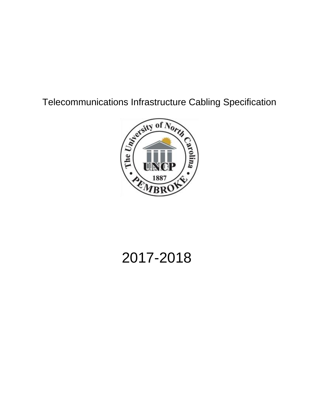Telecommunications Infrastructure Cabling Specification



# 2017-2018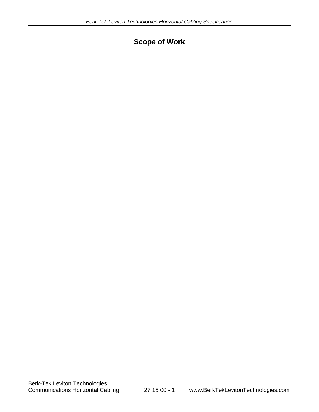# **Scope of Work**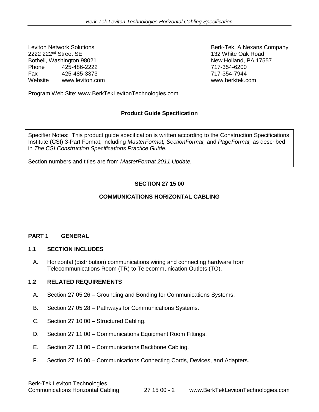<sup>2222</sup> 222<sup>nd</sup> Street SE 132 White Oak Road<br>Bothell. Washington 98021 132 White Oak Road Bothell, Washington 98021 Phone 425-486-2222 717-354-6200 Fax 425-485-3373 717-354-7944 Website [www.leviton.com](http://www.leviton.com/) [www.berktek.com](http://www.berktek.com/)

Leviton Network Solutions **Berk-Tek, A Nexans Company** 

Program Web Site: www.BerkTekLevitonTechnologies.com

# **Product Guide Specification**

Specifier Notes: This product guide specification is written according to the Construction Specifications Institute (CSI) 3-Part Format, including *MasterFormat, SectionFormat,* and *PageFormat,* as described in *The CSI Construction Specifications Practice Guide.*

Section numbers and titles are from *MasterFormat 2011 Update.*

# **SECTION 27 15 00**

#### **COMMUNICATIONS HORIZONTAL CABLING**

#### **PART 1 GENERAL**

#### **1.1 SECTION INCLUDES**

A. Horizontal (distribution) communications wiring and connecting hardware from Telecommunications Room (TR) to Telecommunication Outlets (TO).

#### **1.2 RELATED REQUIREMENTS**

- A. Section 27 05 26 Grounding and Bonding for Communications Systems.
- B. Section 27 05 28 Pathways for Communications Systems.
- C. Section 27 10 00 Structured Cabling.
- D. Section 27 11 00 Communications Equipment Room Fittings.
- E. Section 27 13 00 Communications Backbone Cabling.
- F. Section 27 16 00 Communications Connecting Cords, Devices, and Adapters.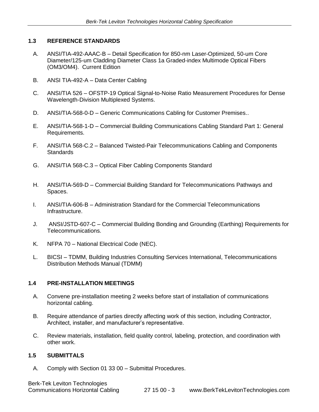# **1.3 REFERENCE STANDARDS**

- A. ANSI/TIA-492-AAAC-B Detail Specification for 850-nm Laser-Optimized, 50-um Core Diameter/125-um Cladding Diameter Class 1a Graded-index Multimode Optical Fibers (OM3/OM4). Current Edition
- B. ANSI TIA-492-A Data Center Cabling
- C. ANSI/TIA 526 OFSTP-19 Optical Signal-to-Noise Ratio Measurement Procedures for Dense Wavelength-Division Multiplexed Systems.
- D. ANSI/TIA-568-0-D Generic Communications Cabling for Customer Premises..
- E. ANSI/TIA-568-1-D Commercial Building Communications Cabling Standard Part 1: General Requirements.
- F. ANSI/TIA 568-C.2 Balanced Twisted-Pair Telecommunications Cabling and Components **Standards**
- G. ANSI/TIA 568-C.3 Optical Fiber Cabling Components Standard
- H. ANSI/TIA-569-D Commercial Building Standard for Telecommunications Pathways and Spaces.
- I. ANSI/TIA-606-B Administration Standard for the Commercial Telecommunications Infrastructure.
- J. ANSI/JSTD-607-C Commercial Building Bonding and Grounding (Earthing) Requirements for Telecommunications.
- K. NFPA 70 National Electrical Code (NEC).
- L. BICSI TDMM, Building Industries Consulting Services International, Telecommunications Distribution Methods Manual (TDMM)

# **1.4 PRE-INSTALLATION MEETINGS**

- A. Convene pre-installation meeting 2 weeks before start of installation of communications horizontal cabling.
- B. Require attendance of parties directly affecting work of this section, including Contractor, Architect, installer, and manufacturer's representative.
- C. Review materials, installation, field quality control, labeling, protection, and coordination with other work.

#### **1.5 SUBMITTALS**

A. Comply with Section 01 33 00 – Submittal Procedures.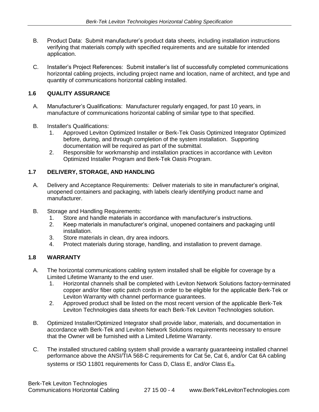- B. Product Data: Submit manufacturer's product data sheets, including installation instructions verifying that materials comply with specified requirements and are suitable for intended application.
- C. Installer's Project References: Submit installer's list of successfully completed communications horizontal cabling projects, including project name and location, name of architect, and type and quantity of communications horizontal cabling installed.

# **1.6 QUALITY ASSURANCE**

- A. Manufacturer's Qualifications: Manufacturer regularly engaged, for past 10 years, in manufacture of communications horizontal cabling of similar type to that specified.
- B. Installer's Qualifications:
	- 1. Approved Leviton Optimized Installer or Berk-Tek Oasis Optimized Integrator Optimized before, during, and through completion of the system installation. Supporting documentation will be required as part of the submittal.
	- 2. Responsible for workmanship and installation practices in accordance with Leviton Optimized Installer Program and Berk-Tek Oasis Program.

# **1.7 DELIVERY, STORAGE, AND HANDLING**

- A. Delivery and Acceptance Requirements: Deliver materials to site in manufacturer's original, unopened containers and packaging, with labels clearly identifying product name and manufacturer.
- B. Storage and Handling Requirements:
	- 1. Store and handle materials in accordance with manufacturer's instructions.
	- 2. Keep materials in manufacturer's original, unopened containers and packaging until installation.
	- 3. Store materials in clean, dry area indoors.
	- 4. Protect materials during storage, handling, and installation to prevent damage.

# **1.8 WARRANTY**

- A. The horizontal communications cabling system installed shall be eligible for coverage by a Limited Lifetime Warranty to the end user.
	- 1. Horizontal channels shall be completed with Leviton Network Solutions factory-terminated copper and/or fiber optic patch cords in order to be eligible for the applicable Berk-Tek or Leviton Warranty with channel performance guarantees.
	- 2. Approved product shall be listed on the most recent version of the applicable Berk-Tek Leviton Technologies data sheets for each Berk-Tek Leviton Technologies solution.
- B. Optimized Installer/Optimized Integrator shall provide labor, materials, and documentation in accordance with Berk-Tek and Leviton Network Solutions requirements necessary to ensure that the Owner will be furnished with a Limited Lifetime Warranty.
- C. The installed structured cabling system shall provide a warranty guaranteeing installed channel performance above the ANSI/TIA 568-C requirements for Cat 5e, Cat 6, and/or Cat 6A cabling systems or ISO 11801 requirements for Cass D, Class E, and/or Class Ea.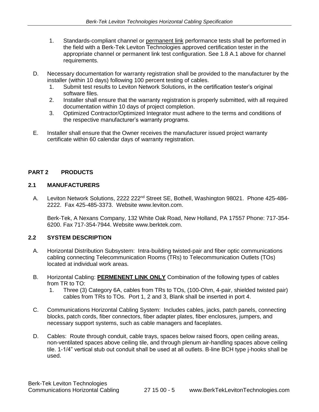- 1. Standards-compliant channel or permanent link performance tests shall be performed in the field with a Berk-Tek Leviton Technologies approved certification tester in the appropriate channel or permanent link test configuration. See 1.8 A.1 above for channel requirements.
- D. Necessary documentation for warranty registration shall be provided to the manufacturer by the installer (within 10 days) following 100 percent testing of cables.
	- 1. Submit test results to Leviton Network Solutions, in the certification tester's original software files.
	- 2. Installer shall ensure that the warranty registration is properly submitted, with all required documentation within 10 days of project completion.
	- 3. Optimized Contractor/Optimized Integrator must adhere to the terms and conditions of the respective manufacturer's warranty programs.
- E. Installer shall ensure that the Owner receives the manufacturer issued project warranty certificate within 60 calendar days of warranty registration.

# **PART 2 PRODUCTS**

#### **2.1 MANUFACTURERS**

A. Leviton Network Solutions, 2222 222<sup>nd</sup> Street SE, Bothell, Washington 98021. Phone 425-486-2222. Fax 425-485-3373. Website [www.leviton.com.](http://www.leviton.com/)

Berk-Tek, A Nexans Company, 132 White Oak Road, New Holland, PA 17557 Phone: 717-354- 6200. Fax 717-354-7944. Website www.berktek.com.

# **2.2 SYSTEM DESCRIPTION**

- A. Horizontal Distribution Subsystem: Intra-building twisted-pair and fiber optic communications cabling connecting Telecommunication Rooms (TRs) to Telecommunication Outlets (TOs) located at individual work areas.
- B. Horizontal Cabling: **PERMENENT LINK ONLY** Combination of the following types of cables from TR to TO:
	- 1. Three (3) Category 6A, cables from TRs to TOs, (100-Ohm, 4-pair, shielded twisted pair) cables from TRs to TOs. Port 1, 2 and 3, Blank shall be inserted in port 4.
- C. Communications Horizontal Cabling System: Includes cables, jacks, patch panels, connecting blocks, patch cords, fiber connectors, fiber adapter plates, fiber enclosures, jumpers, and necessary support systems, such as cable managers and faceplates.
- D. Cables: Route through conduit, cable trays, spaces below raised floors, open ceiling areas, non-ventilated spaces above ceiling tile, and through plenum air-handling spaces above ceiling tile. 1-1/4" vertical stub out conduit shall be used at all outlets. B-line BCH type j-hooks shall be used.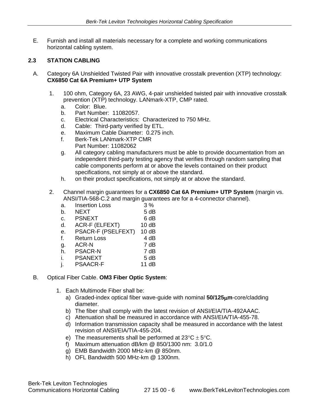E. Furnish and install all materials necessary for a complete and working communications horizontal cabling system.

# **2.3 STATION CABLING**

- A. Category 6A Unshielded Twisted Pair with innovative crosstalk prevention (XTP) technology: **CX6850 Cat 6A Premium+ UTP System** 
	- 1. 100 ohm, Category 6A, 23 AWG, 4-pair unshielded twisted pair with innovative crosstalk prevention (XTP) technology. LANmark-XTP, CMP rated.
		- a. Color: Blue.
		- b. Part Number: 11082057.
		- c. Electrical Characteristics: Characterized to 750 MHz.
		- d. Cable: Third-party verified by ETL.
		- e. Maximum Cable Diameter: 0.275 inch.
		- f. Berk-Tek LANmark-XTP CMR Part Number: 11082062
		- g. All category cabling manufacturers must be able to provide documentation from an independent third-party testing agency that verifies through random sampling that cable components perform at or above the levels contained on their product specifications, not simply at or above the standard.
		- h. on their product specifications, not simply at or above the standard.
	- 2. Channel margin guarantees for a **CX6850 Cat 6A Premium+ UTP System** (margin vs. ANSI/TIA-568-C.2 and margin guarantees are for a 4-connector channel).
		- a. Insertion Loss 3 %
		- b. NEXT 5 dB
		- c. PSNEXT 6 dB
		- d. ACR-F (ELFEXT) 10 dB
		- e. PSACR-F (PSELFEXT) 10 dB
		- f. Return Loss 4 dB
		- g. ACR-N 7 dB
		- h. PSACR-N 7 dB
		- i. PSANEXT 5 dB
		- j. PSAACR-F 11 dB
- B. Optical Fiber Cable. **OM3 Fiber Optic System**:
	- 1. Each Multimode Fiber shall be:
		- a) Graded-index optical fiber wave-guide with nominal **50/125m**-core/cladding diameter.
		- b) The fiber shall comply with the latest revision of ANSI/EIA/TIA-492AAAC.
		- c) Attenuation shall be measured in accordance with ANSI/EIA/TIA-455-78.
		- d) Information transmission capacity shall be measured in accordance with the latest revision of ANSI/EIA/TIA-455-204.
		- e) The measurements shall be performed at  $23^{\circ}C \pm 5^{\circ}C$ .
		- f) Maximum attenuation dB/km @ 850/1300 nm: 3.0/1.0
		- g) EMB Bandwidth 2000 MHz-km @ 850nm.
		- h) OFL Bandwidth 500 MHz-km @ 1300nm.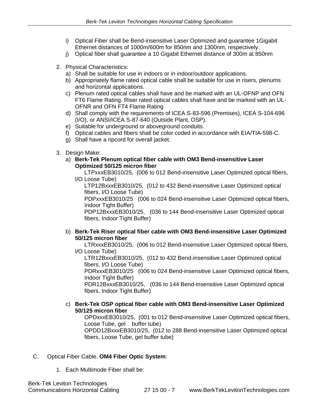- i) Optical Fiber shall be Bend-insensitive Laser Optimized and guarantee 1Gigabit Ethernet distances of 1000m/600m for 850nm and 1300nm, respectively.
- j) Optical fiber shall guarantee a 10 Gigabit Ethernet distance of 300m at 850nm
- 2. Physical Characteristics:
	- a) Shall be suitable for use in indoors or in indoor/outdoor applications.
	- b) Appropriately flame rated optical cable shall be suitable for use in risers, plenums and horizontal applications.
	- c) Plenum rated optical cables shall have and be marked with an UL-OFNP and OFN FT6 Flame Rating. Riser rated optical cables shall have and be marked with an UL-OFNR and OFN FT4 Flame Rating
	- d) Shall comply with the requirements of ICEA S-83-596 (Premises), ICEA S-104-696 (I/O), or ANSI/ICEA S-87-640 (Outside Plant, OSP).
	- e) Suitable for underground or aboveground conduits.
	- f) Optical cables and fibers shall be color coded in accordance with EIA/TIA-598-C.
	- g) Shall have a ripcord for overall jacket.
- 3. Design Make:
	- a) **Berk-Tek Plenum optical fiber cable with OM3 Bend-insensitive Laser Optimized 50/125 micron fiber**

LTPxxxEB3010/25, (006 to 012 Bend-insensitive Laser Optimized optical fibers, I/O Loose Tube)

LTP12BxxxEB3010/25, (012 to 432 Bend-insensitive Laser Optimized optical fibers, I/O Loose Tube)

PDPxxxEB3010/25 (006 to 024 Bend-insensitive Laser Optimized optical fibers, Indoor Tight Buffer)

PDP12BxxxEB3010/25, (036 to 144 Bend-insensitive Laser Optimized optical fibers, Indoor Tight Buffer)

#### b) **Berk-Tek Riser optical fiber cable with OM3 Bend-insensitive Laser Optimized 50/125 micron fiber**

LTRxxxEB3010/25, (006 to 012 Bend-insensitive Laser Optimized optical fibers,

I/O Loose Tube)

LTR12BxxxEB3010/25, (012 to 432 Bend-insensitive Laser Optimized optical fibers, I/O Loose Tube)

PDRxxxEB3010/25 (006 to 024 Bend-insensitive Laser Optimized optical fibers, Indoor Tight Buffer)

PDR12BxxxEB3010/25, (036 to 144 Bend-insensitive Laser Optimized optical fibers, Indoor Tight Buffer)

#### c) **Berk-Tek OSP optical fiber cable with OM3 Bend-insensitive Laser Optimized 50/125 micron fiber**

OPDxxxEB3010/25, (001 to 012 Bend-insensitive Laser Optimized optical fibers, Loose Tube, gel buffer tube)

OPDD12BxxxEB3010/25, (012 to 288 Bend-insensitive Laser Optimized optical fibers, Loose Tube, gel buffer tube)

# C. Optical Fiber Cable. **OM4 Fiber Optic System**:

1. Each Multimode Fiber shall be: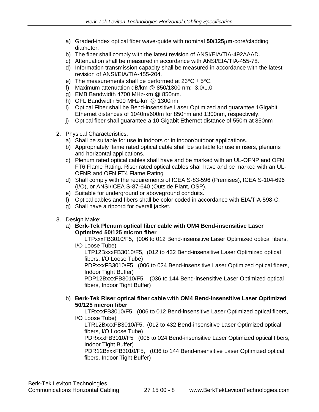- a) Graded-index optical fiber wave-guide with nominal **50/125m**-core/cladding diameter.
- b) The fiber shall comply with the latest revision of ANSI/EIA/TIA-492AAAD.
- c) Attenuation shall be measured in accordance with ANSI/EIA/TIA-455-78.
- d) Information transmission capacity shall be measured in accordance with the latest revision of ANSI/EIA/TIA-455-204.
- e) The measurements shall be performed at  $23^{\circ}C \pm 5^{\circ}C$ .
- f) Maximum attenuation dB/km @ 850/1300 nm: 3.0/1.0
- g) EMB Bandwidth 4700 MHz-km @ 850nm.
- h) OFL Bandwidth 500 MHz-km @ 1300nm.
- i) Optical Fiber shall be Bend-insensitive Laser Optimized and guarantee 1Gigabit Ethernet distances of 1040m/600m for 850nm and 1300nm, respectively.
- j) Optical fiber shall guarantee a 10 Gigabit Ethernet distance of 550m at 850nm
- 2. Physical Characteristics:
	- a) Shall be suitable for use in indoors or in indoor/outdoor applications.
	- b) Appropriately flame rated optical cable shall be suitable for use in risers, plenums and horizontal applications.
	- c) Plenum rated optical cables shall have and be marked with an UL-OFNP and OFN FT6 Flame Rating. Riser rated optical cables shall have and be marked with an UL-OFNR and OFN FT4 Flame Rating
	- d) Shall comply with the requirements of ICEA S-83-596 (Premises), ICEA S-104-696 (I/O), or ANSI/ICEA S-87-640 (Outside Plant, OSP).
	- e) Suitable for underground or aboveground conduits.
	- f) Optical cables and fibers shall be color coded in accordance with EIA/TIA-598-C.
	- g) Shall have a ripcord for overall jacket.
- 3. Design Make:
	- a) **Berk-Tek Plenum optical fiber cable with OM4 Bend-insensitive Laser Optimized 50/125 micron fiber**

LTPxxxFB3010/F5, (006 to 012 Bend-insensitive Laser Optimized optical fibers, I/O Loose Tube)

LTP12BxxxFB3010/F5, (012 to 432 Bend-insensitive Laser Optimized optical fibers, I/O Loose Tube)

PDPxxxFB3010/F5 (006 to 024 Bend-insensitive Laser Optimized optical fibers, Indoor Tight Buffer)

PDP12BxxxFB3010/F5, (036 to 144 Bend-insensitive Laser Optimized optical fibers, Indoor Tight Buffer)

#### b) **Berk-Tek Riser optical fiber cable with OM4 Bend-insensitive Laser Optimized 50/125 micron fiber**

LTRxxxFB3010/F5, (006 to 012 Bend-insensitive Laser Optimized optical fibers, I/O Loose Tube)

LTR12BxxxFB3010/F5, (012 to 432 Bend-insensitive Laser Optimized optical fibers, I/O Loose Tube)

PDRxxxFB3010/F5 (006 to 024 Bend-insensitive Laser Optimized optical fibers, Indoor Tight Buffer)

PDR12BxxxFB3010/F5, (036 to 144 Bend-insensitive Laser Optimized optical fibers, Indoor Tight Buffer)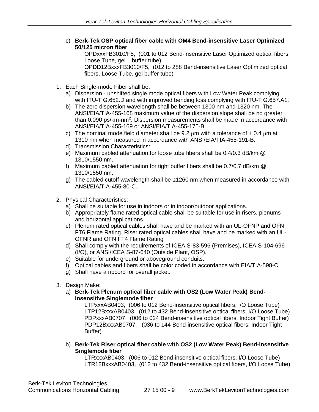c) **Berk-Tek OSP optical fiber cable with OM4 Bend-insensitive Laser Optimized 50/125 micron fiber**

OPDxxxFB3010/F5, (001 to 012 Bend-insensitive Laser Optimized optical fibers, Loose Tube, gel buffer tube) OPDD12BxxxFB3010/F5, (012 to 288 Bend-insensitive Laser Optimized optical fibers, Loose Tube, gel buffer tube)

- 1. Each Single-mode Fiber shall be:
	- a) Dispersion unshifted single mode optical fibers with Low Water Peak complying with ITU-T G.652.D and with improved bending loss complying with ITU-T G.657.A1.
	- b) The zero dispersion wavelength shall be between 1300 nm and 1320 nm. The ANSI/EIA/TIA-455-168 maximum value of the dispersion slope shall be no greater than 0.090 ps/km-nm<sup>2</sup>. Dispersion measurements shall be made in accordance with ANSI/EIA/TIA-455-169 or ANSI/EIA/TIA-455-175-B.
	- c) The nominal mode field diameter shall be 9.2  $\mu$ m with a tolerance of  $\pm$  0.4  $\mu$ m at 1310 nm when measured in accordance with ANSI/EIA/TIA-455-191-B.
	- d) Transmission Characteristics:
	- e) Maximum cabled attenuation for loose tube fibers shall be 0.4/0.3 dB/km @ 1310/1550 nm.
	- f) Maximum cabled attenuation for tight buffer fibers shall be 0.7/0.7 dB/km @ 1310/1550 nm.
	- g) The cabled cutoff wavelength shall be  $\leq$ 1260 nm when measured in accordance with ANSI/EIA/TIA-455-80-C.
- 2. Physical Characteristics:
	- a) Shall be suitable for use in indoors or in indoor/outdoor applications.
	- b) Appropriately flame rated optical cable shall be suitable for use in risers, plenums and horizontal applications.
	- c) Plenum rated optical cables shall have and be marked with an UL-OFNP and OFN FT6 Flame Rating. Riser rated optical cables shall have and be marked with an UL-OFNR and OFN FT4 Flame Rating
	- d) Shall comply with the requirements of ICEA S-83-596 (Premises), ICEA S-104-696 (I/O), or ANSI/ICEA S-87-640 (Outside Plant, OSP).
	- e) Suitable for underground or aboveground conduits.
	- f) Optical cables and fibers shall be color coded in accordance with EIA/TIA-598-C.
	- g) Shall have a ripcord for overall jacket.
- 3. Design Make:
	- a) **Berk-Tek Plenum optical fiber cable with OS2 (Low Water Peak) Bendinsensitive Singlemode fiber**

LTPxxxAB0403, (006 to 012 Bend-insensitive optical fibers, I/O Loose Tube) LTP12BxxxAB0403, (012 to 432 Bend-insensitive optical fibers, I/O Loose Tube) PDPxxxAB0707 (006 to 024 Bend-insensitive optical fibers, Indoor Tight Buffer) PDP12BxxxAB0707, (036 to 144 Bend-insensitive optical fibers, Indoor Tight Buffer)

b) **Berk-Tek Riser optical fiber cable with OS2 (Low Water Peak) Bend-insensitive Singlemode fiber**

LTRxxxAB0403, (006 to 012 Bend-insensitive optical fibers, I/O Loose Tube) LTR12BxxxAB0403, (012 to 432 Bend-insensitive optical fibers, I/O Loose Tube)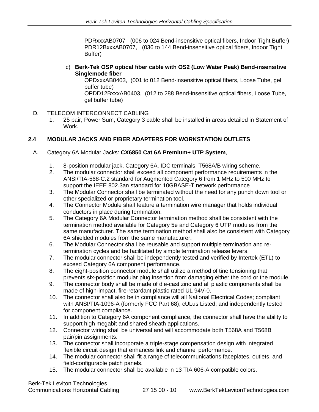PDRxxxAB0707 (006 to 024 Bend-insensitive optical fibers, Indoor Tight Buffer) PDR12BxxxAB0707, (036 to 144 Bend-insensitive optical fibers, Indoor Tight Buffer)

c) **Berk-Tek OSP optical fiber cable with OS2 (Low Water Peak) Bend-insensitive Singlemode fiber**

OPDxxxAB0403, (001 to 012 Bend-insensitive optical fibers, Loose Tube, gel buffer tube)

OPDD12BxxxAB0403, (012 to 288 Bend-insensitive optical fibers, Loose Tube, gel buffer tube)

- D. TELECOM INTERCONNECT CABLING
	- 1. 25 pair, Power Sum, Category 3 cable shall be installed in areas detailed in Statement of Work.

# **2.4 MODULAR JACKS AND FIBER ADAPTERS FOR WORKSTATION OUTLETS**

#### A. Category 6A Modular Jacks: **CX6850 Cat 6A Premium+ UTP System**,

- 1. 8-position modular jack, Category 6A, IDC terminals, T568A/B wiring scheme.
- 2. The modular connector shall exceed all component performance requirements in the ANSI/TIA-568-C.2 standard for Augmented Category 6 from 1 MHz to 500 MHz to support the IEEE 802.3an standard for 10GBASE-T network performance
- 3. The Modular Connector shall be terminated without the need for any punch down tool or other specialized or proprietary termination tool.
- 4. The Connector Module shall feature a termination wire manager that holds individual conductors in place during termination.
- 5. The Category 6A Modular Connector termination method shall be consistent with the termination method available for Category 5e and Category 6 UTP modules from the same manufacturer. The same termination method shall also be consistent with Category 6A shielded modules from the same manufacturer.
- 6. The Modular Connector shall be reusable and support multiple termination and retermination cycles and be facilitated by simple termination release levers.
- 7. The modular connector shall be independently tested and verified by Intertek (ETL) to exceed Category 6A component performance.
- 8. The eight-position connector module shall utilize a method of tine tensioning that prevents six-position modular plug insertion from damaging either the cord or the module.
- 9. The connector body shall be made of die-cast zinc and all plastic components shall be made of high-impact, fire-retardant plastic rated UL 94V-0.
- 10. The connector shall also be in compliance will all National Electrical Codes; compliant with ANSI/TIA-1096-A (formerly FCC Part 68); cULus Listed; and independently tested for component compliance.
- 11. In addition to Category 6A component compliance, the connector shall have the ability to support high megabit and shared sheath applications.
- 12. Connector wiring shall be universal and will accommodate both T568A and T568B pair/pin assignments.
- 13. The connector shall incorporate a triple-stage compensation design with integrated flexible circuit design that enhances link and channel performance.
- 14. The modular connector shall fit a range of telecommunications faceplates, outlets, and field-configurable patch panels.
- 15. The modular connector shall be available in 13 TIA 606-A compatible colors.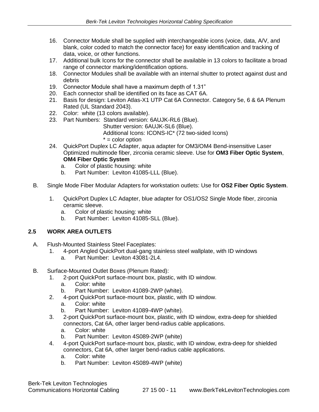- 16. Connector Module shall be supplied with interchangeable icons (voice, data, A/V, and blank, color coded to match the connector face) for easy identification and tracking of data, voice, or other functions.
- 17. Additional bulk Icons for the connector shall be available in 13 colors to facilitate a broad range of connector marking/identification options.
- 18. Connector Modules shall be available with an internal shutter to protect against dust and debris
- 19. Connector Module shall have a maximum depth of 1.31"
- 20. Each connector shall be identified on its face as CAT 6A.
- 21. Basis for design: Leviton Atlas-X1 UTP Cat 6A Connector. Category 5e, 6 & 6A Plenum Rated (UL Standard 2043).
- 22. Color: white (13 colors available).
- 23. Part Numbers: Standard version: 6AUJK-RL6 (Blue).
	- Shutter version: 6AUJK-SL6 (Blue).

Additional Icons: ICONS-IC\* (72 two-sided Icons)

- $* =$  color option
- 24. QuickPort Duplex LC Adapter, aqua adapter for OM3/OM4 Bend-insensitive Laser Optimized multimode fiber, zirconia ceramic sleeve. Use for **OM3 Fiber Optic System**, **OM4 Fiber Optic System**
	- a. Color of plastic housing: white
	- b. Part Number: Leviton 41085-LLL (Blue).
- B. Single Mode Fiber Modular Adapters for workstation outlets: Use for **OS2 Fiber Optic System**.
	- 1. QuickPort Duplex LC Adapter, blue adapter for OS1/OS2 Single Mode fiber, zirconia ceramic sleeve.
		- a. Color of plastic housing: white
		- b. Part Number: Leviton 41085-SLL (Blue).

# **2.5 WORK AREA OUTLETS**

- A. Flush-Mounted Stainless Steel Faceplates:
	- 1. 4-port Angled QuickPort dual-gang stainless steel wallplate, with ID windows
		- a. Part Number: Leviton 43081-2L4.
- B. Surface-Mounted Outlet Boxes (Plenum Rated):
	- 1. 2-port QuickPort surface-mount box, plastic, with ID window.
		- a. Color: white
		- b. Part Number: Leviton 41089-2WP (white).
	- 2. 4-port QuickPort surface-mount box, plastic, with ID window.
		- a. Color: white
		- b. Part Number: Leviton 41089-4WP (white).
	- 3. 2-port QuickPort surface-mount box, plastic, with ID window, extra-deep for shielded connectors, Cat 6A, other larger bend-radius cable applications.
		- a. Color: white
		- b. Part Number: Leviton 4S089-2WP (white)
	- 4. 4-port QuickPort surface-mount box, plastic, with ID window, extra-deep for shielded connectors, Cat 6A, other larger bend-radius cable applications.
		- a. Color: white
		- b. Part Number: Leviton 4S089-4WP (white)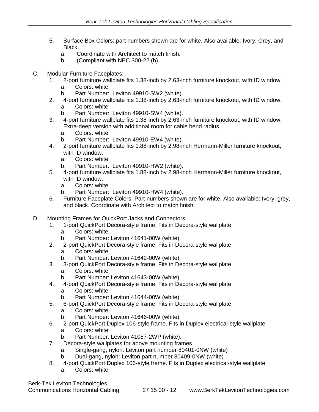- 5. Surface Box Colors: part numbers shown are for white. Also available: Ivory, Grey, and Black.
	- a. Coordinate with Architect to match finish.
	- b. (Compliant with NEC 300-22 (b)
- C. Modular Furniture Faceplates:
	- 1. 2-port furniture wallplate fits 1.38-inch by 2.63-inch furniture knockout, with ID window.
		- a. Colors: white
		- b. Part Number: Leviton 49910-SW2 (white).
	- 2. 4-port furniture wallplate fits 1.38-inch by 2.63-inch furniture knockout, with ID window.
		- a. Colors: white
		- b. Part Number: Leviton 49910-SW4 (white).
	- 3. 4-port furniture wallplate fits 1.38-inch by 2.63-inch furniture knockout, with ID window. Extra-deep version with additional room for cable bend radius.
		- a. Colors: white
		- b. Part Number: Leviton 49910-EW4 (white).
	- 4. 2-port furniture wallplate fits 1.88-inch by 2.98-inch Hermann-Miller furniture knockout, with ID window.
		- a. Colors: white
		- b. Part Number: Leviton 49910-HW2 (white).
	- 5. 4-port furniture wallplate fits 1.88-inch by 2.98-inch Hermann-Miller furniture knockout, with ID window.
		- a. Colors: white
		- b. Part Number: Leviton 49910-HW4 (white).
	- 6. Furniture Faceplate Colors: Part numbers shown are for white. Also available: Ivory, grey, and black. Coordinate with Architect to match finish.
- D. Mounting Frames for QuickPort Jacks and Connectors
	- 1. 1-port QuickPort Decora-style frame. Fits in Decora-style wallplate
		- a. Colors: white
		- b. Part Number: Leviton 41641-00W (white).
	- 2. 2-port QuickPort Decora-style frame. Fits in Decora-style wallplate
		- a. Colors: white
		- b. Part Number: Leviton 41642-00W (white).
	- 3. 3-port QuickPort Decora-style frame. Fits in Decora-style wallplate
		- a. Colors: white
		- b. Part Number: Leviton 41643-00W (white).
	- 4. 4-port QuickPort Decora-style frame. Fits in Decora-style wallplate
		- a. Colors: white
		- b. Part Number: Leviton 41644-00W (white).
	- 5. 6-port QuickPort Decora-style frame. Fits in Decora-style wallplate
		- a. Colors: white
		- b. Part Number: Leviton 41646-00W (white)
	- 6. 2-port QuickPort Duplex 106-style frame. Fits in Duplex electrical-style wallplate
		- a. Colors: white
		- b. Part Number: Leviton 41087-2WP (white).
	- 7. Decora-style wallplates for above mounting frames
		- a. Single-gang, nylon: Leviton part number 80401-0NW (white)
		- b. Dual-gang, nylon: Leviton part number 80409-0NW (white)
	- 8. 4-port QuickPort Duplex 106-style frame. Fits in Duplex electrical-style wallplate
		- a. Colors: white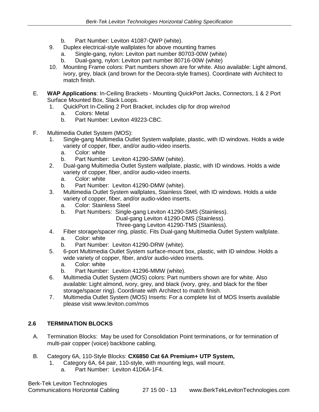- b. Part Number: Leviton 41087-QWP (white).
- 9. Duplex electrical-style wallplates for above mounting frames
	- a. Single-gang, nylon: Leviton part number 80703-00W (white) b. Dual-gang, nylon: Leviton part number 80716-00W (white)
- 10. Mounting Frame colors: Part numbers shown are for white. Also available: Light almond, ivory, grey, black (and brown for the Decora-style frames). Coordinate with Architect to match finish.
- E. **WAP Applications**: In-Ceiling Brackets Mounting QuickPort Jacks, Connectors, 1 & 2 Port Surface Mounted Box, Slack Loops.
	- 1. QuickPort In-Ceiling 2 Port Bracket, includes clip for drop wire/rod
		- a. Colors: Metal
		- b. Part Number: Leviton 49223-CBC.
- F. Multimedia Outlet System (MOS):
	- 1. Single-gang Multimedia Outlet System wallplate, plastic, with ID windows. Holds a wide variety of copper, fiber, and/or audio-video inserts.
		- a. Color: white
		- b. Part Number: Leviton 41290-SMW (white).
	- 2. Dual-gang Multimedia Outlet System wallplate, plastic, with ID windows. Holds a wide variety of copper, fiber, and/or audio-video inserts.
		- a. Color: white
		- b. Part Number: Leviton 41290-DMW (white).
	- 3. Multimedia Outlet System wallplates, Stainless Steel, with ID windows. Holds a wide variety of copper, fiber, and/or audio-video inserts.
		- a. Color: Stainless Steel
		- b. Part Numbers: Single-gang Leviton 41290-SMS (Stainless).

Dual-gang Leviton 41290-DMS (Stainless).

Three-gang Leviton 41290-TMS (Stainless).

- 4. Fiber storage/spacer ring, plastic. Fits Dual-gang Multimedia Outlet System wallplate. a. Color: white
	- b. Part Number: Leviton 41290-DRW (white).
- 5. 6-port Multimedia Outlet System surface-mount box, plastic, with ID window. Holds a wide variety of copper, fiber, and/or audio-video inserts.
	- a. Color: white
	- b. Part Number: Leviton 41296-MMW (white).
- 6. Multimedia Outlet System (MOS) colors: Part numbers shown are for white. Also available: Light almond, ivory, grey, and black (ivory, grey, and black for the fiber storage/spacer ring). Coordinate with Architect to match finish.
- 7. Multimedia Outlet System (MOS) Inserts: For a complete list of MOS Inserts available please visit www.leviton.com/mos

# **2.6 TERMINATION BLOCKS**

- A. Termination Blocks: May be used for Consolidation Point terminations, or for termination of multi-pair copper (voice) backbone cabling.
- B. Category 6A, 110-Style Blocks: **CX6850 Cat 6A Premium+ UTP System,**
	- 1. Category 6A, 64 pair, 110-style, with mounting legs, wall mount.
		- a. Part Number: Leviton 41D6A-1F4.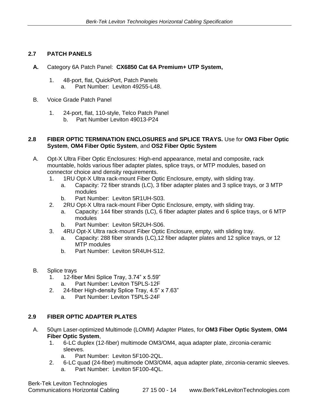# **2.7 PATCH PANELS**

- **A.** Category 6A Patch Panel: **CX6850 Cat 6A Premium+ UTP System,** 
	- 1. 48-port, flat, QuickPort, Patch Panels a. Part Number: Leviton 49255-L48.
- B. Voice Grade Patch Panel
	- 1. 24-port, flat, 110-style, Telco Patch Panel b. Part Number Leviton 49013-P24

#### **2.8 FIBER OPTIC TERMINATION ENCLOSURES and SPLICE TRAYS.** Use for **OM3 Fiber Optic System**, **OM4 Fiber Optic System**, and **OS2 Fiber Optic System**

- A. Opt-X Ultra Fiber Optic Enclosures: High-end appearance, metal and composite, rack mountable, holds various fiber adapter plates, splice trays, or MTP modules, based on connector choice and density requirements.
	- 1. 1RU Opt-X Ultra rack-mount Fiber Optic Enclosure, empty, with sliding tray.
		- a. Capacity: 72 fiber strands (LC), 3 fiber adapter plates and 3 splice trays, or 3 MTP modules
		- b. Part Number: Leviton 5R1UH-S03.
	- 2. 2RU Opt-X Ultra rack-mount Fiber Optic Enclosure, empty, with sliding tray.
		- a. Capacity: 144 fiber strands (LC), 6 fiber adapter plates and 6 splice trays, or 6 MTP modules
		- b. Part Number: Leviton 5R2UH-S06.
	- 3. 4RU Opt-X Ultra rack-mount Fiber Optic Enclosure, empty, with sliding tray.
		- a. Capacity: 288 fiber strands (LC),12 fiber adapter plates and 12 splice trays, or 12 MTP modules
		- b. Part Number: Leviton 5R4UH-S12.
- B. Splice trays
	- 1. 12-fiber Mini Splice Tray, 3.74" x 5.59"
		- a. Part Number: Leviton T5PLS-12F
	- 2. 24-fiber High-density Splice Tray, 4.5" x 7.63"
		- a. Part Number: Leviton T5PLS-24F

#### **2.9 FIBER OPTIC ADAPTER PLATES**

- A. 50ɥm Laser-optimized Multimode (LOMM) Adapter Plates, for **OM3 Fiber Optic System**, **OM4 Fiber Optic System**,
	- 1. 6-LC duplex (12-fiber) multimode OM3/OM4, aqua adapter plate, zirconia-ceramic sleeves.
		- a. Part Number: Leviton 5F100-2QL.
	- 2. 6-LC quad (24-fiber) multimode OM3/OM4, aqua adapter plate, zirconia-ceramic sleeves. a. Part Number: Leviton 5F100-4QL.

Berk-Tek Leviton Technologies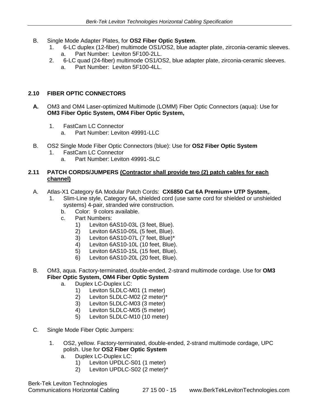- B. Single Mode Adapter Plates, for **OS2 Fiber Optic System**.
	- 1. 6-LC duplex (12-fiber) multimode OS1/OS2, blue adapter plate, zirconia-ceramic sleeves. a. Part Number: Leviton 5F100-2LL.
	- 2. 6-LC quad (24-fiber) multimode OS1/OS2, blue adapter plate, zirconia-ceramic sleeves.
		- a. Part Number: Leviton 5F100-4LL.

# **2.10 FIBER OPTIC CONNECTORS**

- **A.** OM3 and OM4 Laser-optimized Multimode (LOMM) Fiber Optic Connectors (aqua): Use for **OM3 Fiber Optic System, OM4 Fiber Optic System,** 
	- 1. FastCam LC Connector
		- a. Part Number: Leviton 49991-LLC
- B. OS2 Single Mode Fiber Optic Connectors (blue): Use for **OS2 Fiber Optic System**
	- 1. FastCam LC Connector
		- a. Part Number: Leviton 49991-SLC

#### **2.11 PATCH CORDS/JUMPERS (Contractor shall provide two (2) patch cables for each channel)**

- A. Atlas-X1 Category 6A Modular Patch Cords: **CX6850 Cat 6A Premium+ UTP System,**.
	- 1. Slim-Line style, Category 6A, shielded cord (use same cord for shielded or unshielded systems) 4-pair, stranded wire construction.
		- b. Color: 9 colors available.
		- c. Part Numbers:
			- 1) Leviton 6AS10-03L (3 feet, Blue).
			- 2) Leviton 6AS10-05L (5 feet, Blue).
			- 3) Leviton 6AS10-07L (7 feet, Blue)\*
			- 4) Leviton 6AS10-10L (10 feet, Blue).
			- 5) Leviton 6AS10-15L (15 feet, Blue).
			- 6) Leviton 6AS10-20L (20 feet, Blue).
- B. OM3, aqua. Factory-terminated, double-ended, 2-strand multimode cordage. Use for **OM3 Fiber Optic System, OM4 Fiber Optic System**
	- a. Duplex LC-Duplex LC:
		- 1) Leviton 5LDLC-M01 (1 meter)
		- 2) Leviton 5LDLC-M02 (2 meter)\*
		- 3) Leviton 5LDLC-M03 (3 meter)
		- 4) Leviton 5LDLC-M05 (5 meter)
		- 5) Leviton 5LDLC-M10 (10 meter)
- C. Single Mode Fiber Optic Jumpers:
	- 1. OS2, yellow. Factory-terminated, double-ended, 2-strand multimode cordage, UPC polish. Use for **OS2 Fiber Optic System**
		- a. Duplex LC-Duplex LC:
			- 1) Leviton UPDLC-S01 (1 meter)
			- 2) Leviton UPDLC-S02 (2 meter)\*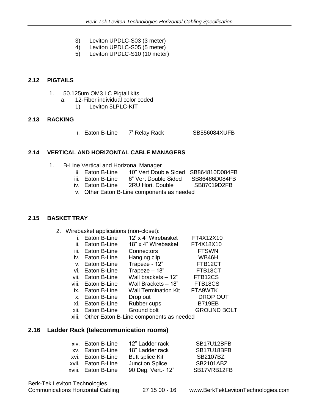- 3) Leviton UPDLC-S03 (3 meter)
- 4) Leviton UPDLC-S05 (5 meter)
- 5) Leviton UPDLC-S10 (10 meter)

# **2.12 PIGTAILS**

- 1. 50.125um OM3 LC Pigtail kits
	- a. 12-Fiber individual color coded
		- 1) Leviton 5LPLC-KIT

#### **2.13 RACKING**

i. Eaton B-Line 7' Relay Rack SB556084XUFB

#### **2.14 VERTICAL AND HORIZONTAL CABLE MANAGERS**

- 1. B-Line Vertical and Horizonal Manager
	- ii. Eaton B-Line 10" Vert Double Sided SB864810D084FB<br>iii. Eaton B-Line 6" Vert Double Sided SB86486D084FB
	- 6" Vert Double Sided SB86486D084FB
	- iv. Eaton B-Line 2RU Hori. Double SB87019D2FB
		- v. Other Eaton B-Line components as needed

#### **2.15 BASKET TRAY**

2. Wirebasket applications (non-closet):

| i. Eaton B-Line  | 12' x 4" Wirebasket | FT4X12X10 |
|------------------|---------------------|-----------|
| ii. Eaton B-Line | 18" x 4" Wirebasket | FT4X18X10 |

- iii. Eaton B-Line Connectors **FTSWN**
- iv. Eaton B-Line Hanging clip WB46H
- v. Eaton B-Line Trapeze 12" FTB12CT
- vi. Eaton B-Line Trapeze 18" FTB18CT
- vii. Eaton B-Line Wall brackets 12" FTB12CS
- viii. Eaton B-Line Wall Brackets 18" FTB18CS
- ix. Eaton B-Line Wall Termination Kit FTA9WTK
- x. Eaton B-Line Drop out DROP OUT
- xi. Eaton B-Line Rubber cups B719EB
- xii. Eaton B-Line Ground bolt GROUND BOLT
- xiii. Other Eaton B-Line components as needed

# **2.16 Ladder Rack (telecommunication rooms)**

| xiv. Eaton B-Line   | 12" Ladder rack        | SB17U12BFB  |
|---------------------|------------------------|-------------|
| xv. Eaton B-Line    | 18" Ladder rack        | SB17U18BFB  |
| xvi. Eaton B-Line   | <b>Butt splice Kit</b> | SB2107BZ    |
| xvii. Eaton B-Line  | <b>Junction Splice</b> | SB2101ABZ   |
| xviii. Eaton B-Line | 90 Deg. Vert.- 12"     | SB17VRB12FB |

Berk-Tek Leviton Technologies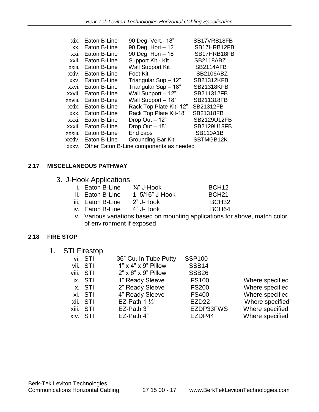| xix.    | Eaton B-Line | 90 Deg. Vert.- 18"                      | SB17VRB18FB       |
|---------|--------------|-----------------------------------------|-------------------|
| XX.     | Eaton B-Line | 90 Deg. Hori - 12"                      | SB17HRB12FB       |
| xxi.    | Eaton B-Line | 90 Deg. Hori - 18"                      | SB17HRB18FB       |
| xxii.   | Eaton B-Line | Support Kit - Kit                       | <b>SB2118ABZ</b>  |
| xxiii.  | Eaton B-Line | <b>Wall Support Kit</b>                 | <b>SB2114AFB</b>  |
| xxiv.   | Eaton B-Line | Foot Kit                                | <b>SB2106ABZ</b>  |
| XXV.    | Eaton B-Line | Triangular Sup - 12"                    | <b>SB21312KFB</b> |
| xxvi.   | Eaton B-Line | Triangular Sup - 18"                    | <b>SB21318KFB</b> |
| xxvii.  | Eaton B-Line | Wall Support - 12"                      | SB211312FB        |
| xxviii. | Eaton B-Line | Wall Support - 18"                      | SB211318FB        |
| xxix.   | Eaton B-Line | Rack Top Plate Kit-12"                  | <b>SB21312FB</b>  |
| XXX.    | Eaton B-Line | Rack Top Plate Kit-18"                  | <b>SB21318FB</b>  |
| xxxi.   | Eaton B-Line | Drop Out - 12"                          | SB2129U12FB       |
| xxxii.  | Eaton B-Line | Drop Out - 18"                          | SB2129U18FB       |
| xxxiii. | Eaton B-Line | End caps                                | <b>SB110A1B</b>   |
| xxxiv.  | Eaton B-Line | Grounding Bar Kit                       | SBTMGB12K         |
| XXXV.   |              | Other Eaton B-Line components as needed |                   |

# **2.17 MISCELLANEOUS PATHWAY**

3. J-Hook Applications

| i. Eaton B-Line | $\frac{3}{4}$ " J-Hook    | BCH <sub>12</sub> |
|-----------------|---------------------------|-------------------|
|                 | $A$ $F(A \cap Y)$ illasiz | <b>DOLIO4</b>     |

- ii. Eaton B-Line 1 5/16" J-Hook BCH21
- 
- iii. Eaton B-Line 2" J-Hook BCH32<br>iv. Eaton B-Line 4" J-Hook BCH64 iv. Eaton B-Line 4" J-Hook BCH64
- v. Various variations based on mounting applications for above, match color of environment if exposed

# **2.18 FIRE STOP**

1. STI Firestop

| vi. STI   | 36" Cu. In Tube Putty           | <b>SSP100</b>     |                 |
|-----------|---------------------------------|-------------------|-----------------|
| vii. STI  | $1" \times 4" \times 9"$ Pillow | <b>SSB14</b>      |                 |
| viii. STI | $2" \times 6" \times 9"$ Pillow | <b>SSB26</b>      |                 |
| ix. STI   | 1" Ready Sleeve                 | <b>FS100</b>      | Where specified |
| x. STI    | 2" Ready Sleeve                 | <b>FS200</b>      | Where specified |
| xi. STI   | 4" Ready Sleeve                 | <b>FS400</b>      | Where specified |
| xii. STI  | EZ-Path 1 $\frac{1}{2}$         | EZD <sub>22</sub> | Where specified |
| xiii. STI | EZ-Path 3"                      | EZDP33FWS         | Where specified |
| xiv. STI  | EZ-Path 4"                      | EZDP44            | Where specified |
|           |                                 |                   |                 |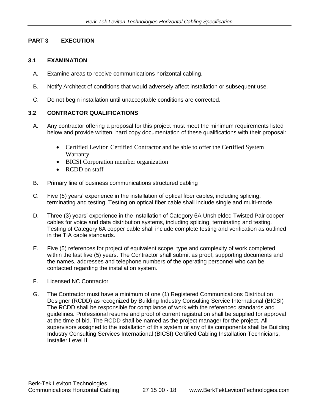# **PART 3 EXECUTION**

# **3.1 EXAMINATION**

- A. Examine areas to receive communications horizontal cabling.
- B. Notify Architect of conditions that would adversely affect installation or subsequent use.
- C. Do not begin installation until unacceptable conditions are corrected.

# **3.2 CONTRACTOR QUALIFICATIONS**

- A. Any contractor offering a proposal for this project must meet the minimum requirements listed below and provide written, hard copy documentation of these qualifications with their proposal:
	- Certified Leviton Certified Contractor and be able to offer the Certified System Warranty.
	- BICSI Corporation member organization
	- RCDD on staff
- B. Primary line of business communications structured cabling
- C. Five (5) years' experience in the installation of optical fiber cables, including splicing, terminating and testing. Testing on optical fiber cable shall include single and multi-mode.
- D. Three (3) years' experience in the installation of Category 6A Unshielded Twisted Pair copper cables for voice and data distribution systems, including splicing, terminating and testing. Testing of Category 6A copper cable shall include complete testing and verification as outlined in the TIA cable standards.
- E. Five (5) references for project of equivalent scope, type and complexity of work completed within the last five (5) years. The Contractor shall submit as proof, supporting documents and the names, addresses and telephone numbers of the operating personnel who can be contacted regarding the installation system.
- F. Licensed NC Contractor
- G. The Contractor must have a minimum of one (1) Registered Communications Distribution Designer (RCDD) as recognized by Building Industry Consulting Service International (BICSI) The RCDD shall be responsible for compliance of work with the referenced standards and guidelines. Professional resume and proof of current registration shall be supplied for approval at the time of bid. The RCDD shall be named as the project manager for the project. All supervisors assigned to the installation of this system or any of its components shall be Building Industry Consulting Services International (BICSI) Certified Cabling Installation Technicians, Installer Level II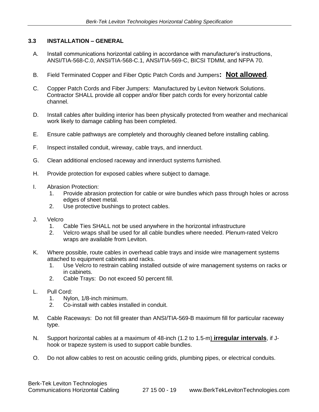# **3.3 INSTALLATION – GENERAL**

- A. Install communications horizontal cabling in accordance with manufacturer's instructions, ANSI/TIA-568-C.0, ANSI/TIA-568-C.1, ANSI/TIA-569-C, BICSI TDMM, and NFPA 70.
- B. Field Terminated Copper and Fiber Optic Patch Cords and Jumpers**: Not allowed**.
- C. Copper Patch Cords and Fiber Jumpers: Manufactured by Leviton Network Solutions. Contractor SHALL provide all copper and/or fiber patch cords for every horizontal cable channel.
- D. Install cables after building interior has been physically protected from weather and mechanical work likely to damage cabling has been completed.
- E. Ensure cable pathways are completely and thoroughly cleaned before installing cabling.
- F. Inspect installed conduit, wireway, cable trays, and innerduct.
- G. Clean additional enclosed raceway and innerduct systems furnished.
- H. Provide protection for exposed cables where subject to damage.
- I. Abrasion Protection:
	- 1. Provide abrasion protection for cable or wire bundles which pass through holes or across edges of sheet metal.
	- 2. Use protective bushings to protect cables.
- J. Velcro
	- 1. Cable Ties SHALL not be used anywhere in the horizontal infrastructure
	- 2. Velcro wraps shall be used for all cable bundles where needed. Plenum-rated Velcro wraps are available from Leviton.
- K. Where possible, route cables in overhead cable trays and inside wire management systems attached to equipment cabinets and racks.
	- 1. Use Velcro to restrain cabling installed outside of wire management systems on racks or in cabinets.
	- 2. Cable Trays: Do not exceed 50 percent fill.
- L. Pull Cord:
	- 1. Nylon, 1/8-inch minimum.
	- 2. Co-install with cables installed in conduit.
- M. Cable Raceways: Do not fill greater than ANSI/TIA-569-B maximum fill for particular raceway type.
- N. Support horizontal cables at a maximum of 48-inch (1.2 to 1.5-m) **irregular intervals**, if Jhook or trapeze system is used to support cable bundles.
- O. Do not allow cables to rest on acoustic ceiling grids, plumbing pipes, or electrical conduits.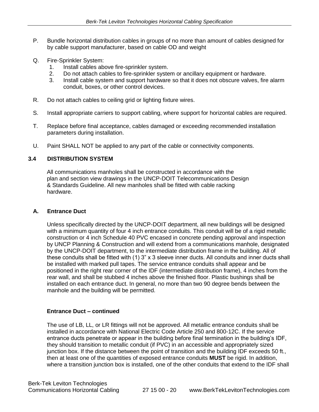- P. Bundle horizontal distribution cables in groups of no more than amount of cables designed for by cable support manufacturer, based on cable OD and weight
- Q. Fire-Sprinkler System:
	- 1. Install cables above fire-sprinkler system.
	- 2. Do not attach cables to fire-sprinkler system or ancillary equipment or hardware.
	- 3. Install cable system and support hardware so that it does not obscure valves, fire alarm conduit, boxes, or other control devices.
- R. Do not attach cables to ceiling grid or lighting fixture wires.
- S. Install appropriate carriers to support cabling, where support for horizontal cables are required.
- T. Replace before final acceptance, cables damaged or exceeding recommended installation parameters during installation.
- U. Paint SHALL NOT be applied to any part of the cable or connectivity components.

# **3.4 DISTRIBUTION SYSTEM**

All communications manholes shall be constructed in accordance with the plan and section view drawings in the UNCP-DOIT Telecommunications Design & Standards Guideline. All new manholes shall be fitted with cable racking hardware.

#### **A. Entrance Duct**

Unless specifically directed by the UNCP-DOIT department, all new buildings will be designed with a minimum quantity of four 4 inch entrance conduits. This conduit will be of a rigid metallic construction or 4 inch Schedule 40 PVC encased in concrete pending approval and inspection by UNCP Planning & Construction and will extend from a communications manhole, designated by the UNCP-DOIT department, to the intermediate distribution frame in the building. All of these conduits shall be fitted with (1) 3" x 3 sleeve inner ducts. All conduits and inner ducts shall be installed with marked pull tapes. The service entrance conduits shall appear and be positioned in the right rear corner of the IDF (intermediate distribution frame), 4 inches from the rear wall, and shall be stubbed 4 inches above the finished floor. Plastic bushings shall be installed on each entrance duct. In general, no more than two 90 degree bends between the manhole and the building will be permitted.

#### **Entrance Duct – continued**

The use of LB, LL, or LR fittings will not be approved. All metallic entrance conduits shall be installed in accordance with National Electric Code Article 250 and 800-12C. If the service entrance ducts penetrate or appear in the building before final termination in the building's IDF, they should transition to metallic conduit (if PVC) in an accessible and appropriately sized junction box. If the distance between the point of transition and the building IDF exceeds 50 ft., then at least one of the quantities of exposed entrance conduits **MUST** be rigid. In addition, where a transition junction box is installed, one of the other conduits that extend to the IDF shall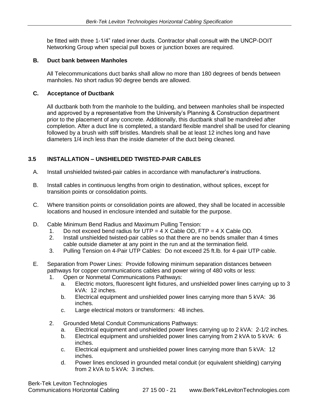be fitted with three 1-1/4" rated inner ducts. Contractor shall consult with the UNCP-DOIT Networking Group when special pull boxes or junction boxes are required.

# **B. Duct bank between Manholes**

All Telecommunications duct banks shall allow no more than 180 degrees of bends between manholes. No short radius 90 degree bends are allowed.

# **C. Acceptance of Ductbank**

All ductbank both from the manhole to the building, and between manholes shall be inspected and approved by a representative from the University's Planning & Construction department prior to the placement of any concrete. Additionally, this ductbank shall be mandreled after completion. After a duct line is completed, a standard flexible mandrel shall be used for cleaning followed by a brush with stiff bristles. Mandrels shall be at least 12 inches long and have diameters 1/4 inch less than the inside diameter of the duct being cleaned.

# **3.5 INSTALLATION – UNSHIELDED TWISTED-PAIR CABLES**

- A. Install unshielded twisted-pair cables in accordance with manufacturer's instructions.
- B. Install cables in continuous lengths from origin to destination, without splices, except for transition points or consolidation points.
- C. Where transition points or consolidation points are allowed, they shall be located in accessible locations and housed in enclosure intended and suitable for the purpose.
- D. Cable Minimum Bend Radius and Maximum Pulling Tension:
	- 1. Do not exceed bend radius for UTP =  $4 \times$  Cable OD, FTP =  $4 \times$  Cable OD.
	- 2. Install unshielded twisted-pair cables so that there are no bends smaller than 4 times cable outside diameter at any point in the run and at the termination field.
	- 3. Pulling Tension on 4-Pair UTP Cables: Do not exceed 25 ft.lb. for 4-pair UTP cable.
- E. Separation from Power Lines: Provide following minimum separation distances between pathways for copper communications cables and power wiring of 480 volts or less:
	- 1. Open or Nonmetal Communications Pathways:
		- a. Electric motors, fluorescent light fixtures, and unshielded power lines carrying up to 3 kVA: 12 inches.
		- b. Electrical equipment and unshielded power lines carrying more than 5 kVA: 36 inches.
		- c. Large electrical motors or transformers: 48 inches.
	- 2. Grounded Metal Conduit Communications Pathways:
		- a. Electrical equipment and unshielded power lines carrying up to 2 kVA: 2-1/2 inches.
		- b. Electrical equipment and unshielded power lines carrying from 2 kVA to 5 kVA: 6 inches.
		- c. Electrical equipment and unshielded power lines carrying more than 5 kVA: 12 inches.
		- d. Power lines enclosed in grounded metal conduit (or equivalent shielding) carrying from 2 kVA to 5 kVA: 3 inches.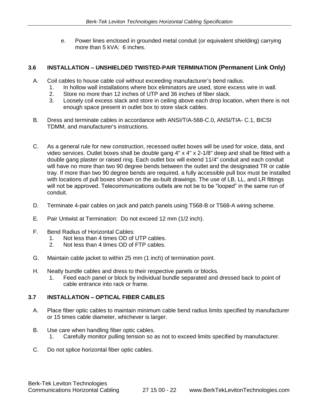e. Power lines enclosed in grounded metal conduit (or equivalent shielding) carrying more than 5 kVA: 6 inches.

# **3.6 INSTALLATION – UNSHIELDED TWISTED-PAIR TERMINATION (Permanent Link Only)**

- A. Coil cables to house cable coil without exceeding manufacturer's bend radius.
	- 1. In hollow wall installations where box eliminators are used, store excess wire in wall.
	- 2. Store no more than 12 inches of UTP and 36 inches of fiber slack.
	- 3. Loosely coil excess slack and store in ceiling above each drop location, when there is not enough space present in outlet box to store slack cables.
- B. Dress and terminate cables in accordance with ANSI/TIA-568-C.0, ANSI/TIA- C.1, BICSI TDMM, and manufacturer's instructions.
- C. As a general rule for new construction, recessed outlet boxes will be used for voice, data, and video services. Outlet boxes shall be double gang 4" x 4" x 2-1/8" deep and shall be fitted with a double gang plaster or raised ring. Each outlet box will extend 11/4" conduit and each conduit will have no more than two 90 degree bends between the outlet and the designated TR or cable tray. If more than two 90 degree bends are required, a fully accessible pull box must be installed with locations of pull boxes shown on the as-built drawings. The use of LB, LL, and LR fittings will not be approved. Telecommunications outlets are not be to be "looped" in the same run of conduit.
- D. Terminate 4-pair cables on jack and patch panels using T568-B or T568-A wiring scheme.
- E. Pair Untwist at Termination: Do not exceed 12 mm (1/2 inch).
- F. Bend Radius of Horizontal Cables:
	- 1. Not less than 4 times OD of UTP cables.
	- 2. Not less than 4 times OD of FTP cables.
- G. Maintain cable jacket to within 25 mm (1 inch) of termination point.
- H. Neatly bundle cables and dress to their respective panels or blocks.
	- 1. Feed each panel or block by individual bundle separated and dressed back to point of cable entrance into rack or frame.

# **3.7 INSTALLATION – OPTICAL FIBER CABLES**

- A. Place fiber optic cables to maintain minimum cable bend radius limits specified by manufacturer or 15 times cable diameter, whichever is larger.
- B. Use care when handling fiber optic cables.
	- 1. Carefully monitor pulling tension so as not to exceed limits specified by manufacturer.
- C. Do not splice horizontal fiber optic cables.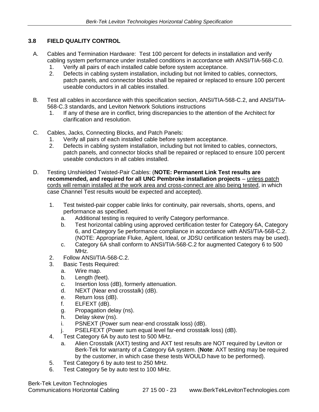# **3.8 FIELD QUALITY CONTROL**

- A. Cables and Termination Hardware: Test 100 percent for defects in installation and verify cabling system performance under installed conditions in accordance with ANSI/TIA-568-C.0.
	- 1. Verify all pairs of each installed cable before system acceptance.
	- 2. Defects in cabling system installation, including but not limited to cables, connectors, patch panels, and connector blocks shall be repaired or replaced to ensure 100 percent useable conductors in all cables installed.
- B. Test all cables in accordance with this specification section, ANSI/TIA-568-C.2, and ANSI/TIA-568-C.3 standards, and Leviton Network Solutions instructions
	- 1. If any of these are in conflict, bring discrepancies to the attention of the Architect for clarification and resolution.
- C. Cables, Jacks, Connecting Blocks, and Patch Panels:
	- 1. Verify all pairs of each installed cable before system acceptance.
	- 2. Defects in cabling system installation, including but not limited to cables, connectors, patch panels, and connector blocks shall be repaired or replaced to ensure 100 percent useable conductors in all cables installed.
- D. Testing Unshielded Twisted-Pair Cables: (**NOTE: Permanent Link Test results are recommended, and required for all UNC Pembroke installation projects** – unless patch cords will remain installed at the work area and cross-connect are also being tested, in which case Channel Test results would be expected and accepted).
	- 1. Test twisted-pair copper cable links for continuity, pair reversals, shorts, opens, and performance as specified.
		- a. Additional testing is required to verify Category performance.
		- b. Test horizontal cabling using approved certification tester for Category 6A, Category 6, and Category 5e performance compliance in accordance with ANSI/TIA-568-C.2. (NOTE: Appropriate Fluke, Agilent, Ideal, or JDSU certification testers may be used).
		- c. Category 6A shall conform to ANSI/TIA-568-C.2 for augmented Category 6 to 500 MHz.
	- 2. Follow ANSI/TIA-568-C.2.
	- 3. Basic Tests Required:
		- a. Wire map.
		- b. Length (feet).
		- c. Insertion loss (dB), formerly attenuation.
		- d. NEXT (Near end crosstalk) (dB).
		- e. Return loss (dB).
		- f. ELFEXT (dB).
		- g. Propagation delay (ns).
		- h. Delay skew (ns).
		- i. PSNEXT (Power sum near-end crosstalk loss) (dB).
		- j. PSELFEXT (Power sum equal level far-end crosstalk loss) (dB).
	- 4. Test Category 6A by auto test to 500 MHz.
		- a. Alien Crosstalk (AXT) testing and AXT test results are NOT required by Leviton or Berk-Tek for warranty of a Category 6A system. (**Note**: AXT testing may be required by the customer, in which case these tests WOULD have to be performed).
	- 5. Test Category 6 by auto test to 250 MHz.
	- 6. Test Category 5e by auto test to 100 MHz.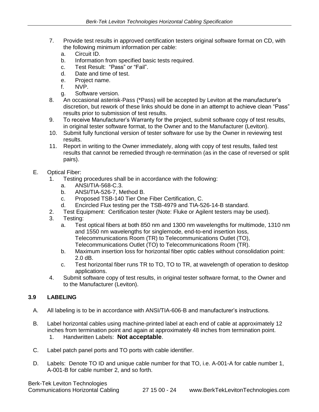- 7. Provide test results in approved certification testers original software format on CD, with the following minimum information per cable:
	- a. Circuit ID.
	- b. Information from specified basic tests required.
	- c. Test Result: "Pass" or "Fail".
	- d. Date and time of test.
	- e. Project name.
	- f. NVP.
	- g. Software version.
- 8. An occasional asterisk-Pass (\*Pass) will be accepted by Leviton at the manufacturer's discretion, but rework of these links should be done in an attempt to achieve clean "Pass" results prior to submission of test results.
- 9. To receive Manufacturer's Warranty for the project, submit software copy of test results, in original tester software format, to the Owner and to the Manufacturer (Leviton).
- 10. Submit fully functional version of tester software for use by the Owner in reviewing test results.
- 11. Report in writing to the Owner immediately, along with copy of test results, failed test results that cannot be remedied through re-termination (as in the case of reversed or split pairs).

#### E. Optical Fiber:

- 1. Testing procedures shall be in accordance with the following:
	- a. ANSI/TIA-568-C.3.
	- b. ANSI/TIA-526-7, Method B.
	- c. Proposed TSB-140 Tier One Fiber Certification, C.
	- d. Encircled Flux testing per the TSB-4979 and TIA-526-14-B standard.
- 2. Test Equipment: Certification tester (Note: Fluke or Agilent testers may be used).
- 3. Testing:
	- a. Test optical fibers at both 850 nm and 1300 nm wavelengths for multimode, 1310 nm and 1550 nm wavelengths for singlemode, end-to-end insertion loss, Telecommunications Room (TR) to Telecommunications Outlet (TO), Telecommunications Outlet (TO) to Telecommunications Room (TR).
	- b. Maximum insertion loss for horizontal fiber optic cables without consolidation point: 2.0 dB.
	- c. Test horizontal fiber runs TR to TO, TO to TR, at wavelength of operation to desktop applications.
- 4. Submit software copy of test results, in original tester software format, to the Owner and to the Manufacturer (Leviton).

# **3.9 LABELING**

- A. All labeling is to be in accordance with ANSI/TIA-606-B and manufacturer's instructions.
- B. Label horizontal cables using machine-printed label at each end of cable at approximately 12 inches from termination point and again at approximately 48 inches from termination point. 1. Handwritten Labels: **Not acceptable**.
- C. Label patch panel ports and TO ports with cable identifier.
- D. Labels: Denote TO ID and unique cable number for that TO, i.e. A-001-A for cable number 1, A-001-B for cable number 2, and so forth.